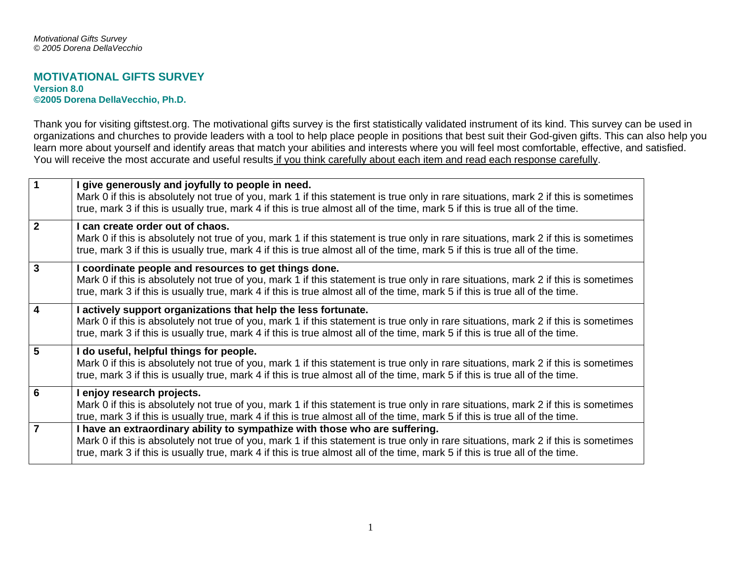## **MOTIVATIONAL GIFTS SURVEY Version 8.0 ©2005 Dorena DellaVecchio, Ph.D.**

Thank you for visiting giftstest.org. The motivational gifts survey is the first statistically validated instrument of its kind. This survey can be used in organizations and churches to provide leaders with a tool to help place people in positions that best suit their God-given gifts. This can also help you learn more about yourself and identify areas that match your abilities and interests where you will feel most comfortable, effective, and satisfied. You will receive the most accurate and useful results if you think carefully about each item and read each response carefully.

| $\mathbf 1$             | I give generously and joyfully to people in need.<br>Mark 0 if this is absolutely not true of you, mark 1 if this statement is true only in rare situations, mark 2 if this is sometimes<br>true, mark 3 if this is usually true, mark 4 if this is true almost all of the time, mark 5 if this is true all of the time.                           |
|-------------------------|----------------------------------------------------------------------------------------------------------------------------------------------------------------------------------------------------------------------------------------------------------------------------------------------------------------------------------------------------|
| $\overline{2}$          | I can create order out of chaos.<br>Mark 0 if this is absolutely not true of you, mark 1 if this statement is true only in rare situations, mark 2 if this is sometimes<br>true, mark 3 if this is usually true, mark 4 if this is true almost all of the time, mark 5 if this is true all of the time.                                            |
| $\overline{3}$          | I coordinate people and resources to get things done.<br>Mark 0 if this is absolutely not true of you, mark 1 if this statement is true only in rare situations, mark 2 if this is sometimes<br>true, mark 3 if this is usually true, mark 4 if this is true almost all of the time, mark 5 if this is true all of the time.                       |
| $\overline{4}$          | I actively support organizations that help the less fortunate.<br>Mark 0 if this is absolutely not true of you, mark 1 if this statement is true only in rare situations, mark 2 if this is sometimes<br>true, mark 3 if this is usually true, mark 4 if this is true almost all of the time, mark 5 if this is true all of the time.              |
| $5\phantom{1}$          | I do useful, helpful things for people.<br>Mark 0 if this is absolutely not true of you, mark 1 if this statement is true only in rare situations, mark 2 if this is sometimes<br>true, mark 3 if this is usually true, mark 4 if this is true almost all of the time, mark 5 if this is true all of the time.                                     |
| 6                       | I enjoy research projects.<br>Mark 0 if this is absolutely not true of you, mark 1 if this statement is true only in rare situations, mark 2 if this is sometimes<br>true, mark 3 if this is usually true, mark 4 if this is true almost all of the time, mark 5 if this is true all of the time.                                                  |
| $\overline{\mathbf{7}}$ | I have an extraordinary ability to sympathize with those who are suffering.<br>Mark 0 if this is absolutely not true of you, mark 1 if this statement is true only in rare situations, mark 2 if this is sometimes<br>true, mark 3 if this is usually true, mark 4 if this is true almost all of the time, mark 5 if this is true all of the time. |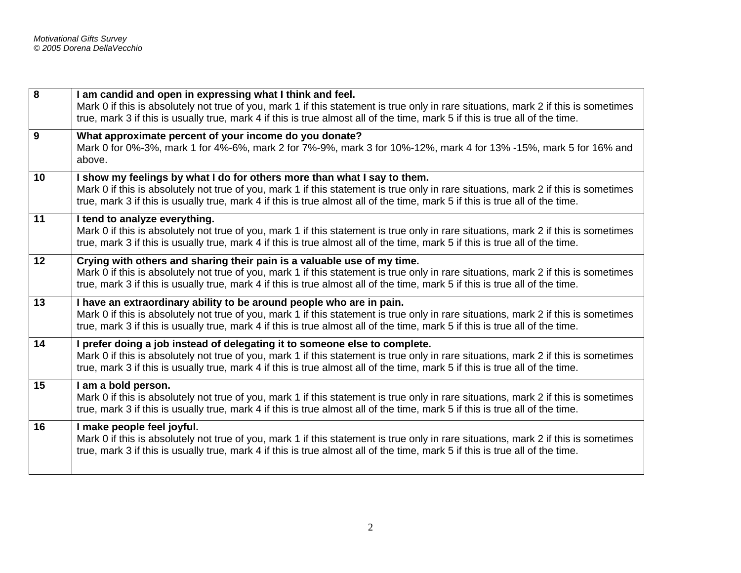| 8  | I am candid and open in expressing what I think and feel.<br>Mark 0 if this is absolutely not true of you, mark 1 if this statement is true only in rare situations, mark 2 if this is sometimes<br>true, mark 3 if this is usually true, mark 4 if this is true almost all of the time, mark 5 if this is true all of the time.                  |
|----|---------------------------------------------------------------------------------------------------------------------------------------------------------------------------------------------------------------------------------------------------------------------------------------------------------------------------------------------------|
| 9  | What approximate percent of your income do you donate?<br>Mark 0 for 0%-3%, mark 1 for 4%-6%, mark 2 for 7%-9%, mark 3 for 10%-12%, mark 4 for 13% -15%, mark 5 for 16% and<br>above.                                                                                                                                                             |
| 10 | I show my feelings by what I do for others more than what I say to them.<br>Mark 0 if this is absolutely not true of you, mark 1 if this statement is true only in rare situations, mark 2 if this is sometimes<br>true, mark 3 if this is usually true, mark 4 if this is true almost all of the time, mark 5 if this is true all of the time.   |
| 11 | I tend to analyze everything.<br>Mark 0 if this is absolutely not true of you, mark 1 if this statement is true only in rare situations, mark 2 if this is sometimes<br>true, mark 3 if this is usually true, mark 4 if this is true almost all of the time, mark 5 if this is true all of the time.                                              |
| 12 | Crying with others and sharing their pain is a valuable use of my time.<br>Mark 0 if this is absolutely not true of you, mark 1 if this statement is true only in rare situations, mark 2 if this is sometimes<br>true, mark 3 if this is usually true, mark 4 if this is true almost all of the time, mark 5 if this is true all of the time.    |
| 13 | I have an extraordinary ability to be around people who are in pain.<br>Mark 0 if this is absolutely not true of you, mark 1 if this statement is true only in rare situations, mark 2 if this is sometimes<br>true, mark 3 if this is usually true, mark 4 if this is true almost all of the time, mark 5 if this is true all of the time.       |
| 14 | I prefer doing a job instead of delegating it to someone else to complete.<br>Mark 0 if this is absolutely not true of you, mark 1 if this statement is true only in rare situations, mark 2 if this is sometimes<br>true, mark 3 if this is usually true, mark 4 if this is true almost all of the time, mark 5 if this is true all of the time. |
| 15 | I am a bold person.<br>Mark 0 if this is absolutely not true of you, mark 1 if this statement is true only in rare situations, mark 2 if this is sometimes<br>true, mark 3 if this is usually true, mark 4 if this is true almost all of the time, mark 5 if this is true all of the time.                                                        |
| 16 | I make people feel joyful.<br>Mark 0 if this is absolutely not true of you, mark 1 if this statement is true only in rare situations, mark 2 if this is sometimes<br>true, mark 3 if this is usually true, mark 4 if this is true almost all of the time, mark 5 if this is true all of the time.                                                 |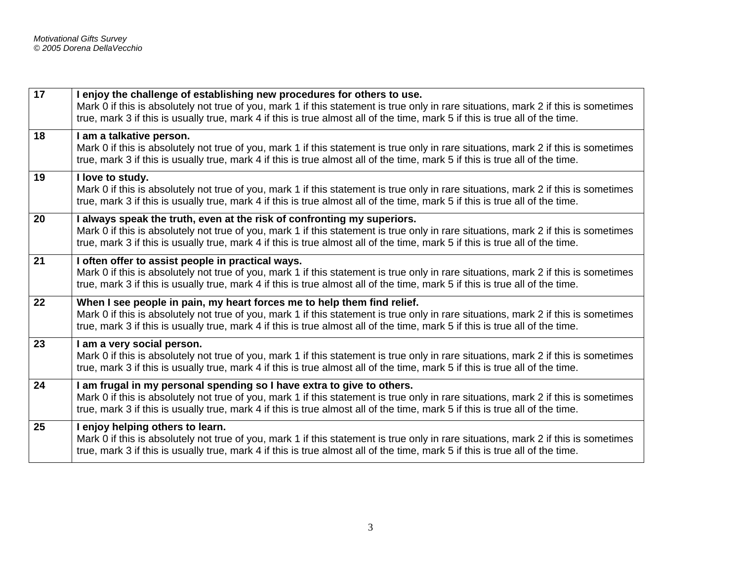| 17 | I enjoy the challenge of establishing new procedures for others to use.<br>Mark 0 if this is absolutely not true of you, mark 1 if this statement is true only in rare situations, mark 2 if this is sometimes<br>true, mark 3 if this is usually true, mark 4 if this is true almost all of the time, mark 5 if this is true all of the time. |
|----|------------------------------------------------------------------------------------------------------------------------------------------------------------------------------------------------------------------------------------------------------------------------------------------------------------------------------------------------|
| 18 | I am a talkative person.<br>Mark 0 if this is absolutely not true of you, mark 1 if this statement is true only in rare situations, mark 2 if this is sometimes<br>true, mark 3 if this is usually true, mark 4 if this is true almost all of the time, mark 5 if this is true all of the time.                                                |
| 19 | I love to study.<br>Mark 0 if this is absolutely not true of you, mark 1 if this statement is true only in rare situations, mark 2 if this is sometimes<br>true, mark 3 if this is usually true, mark 4 if this is true almost all of the time, mark 5 if this is true all of the time.                                                        |
| 20 | I always speak the truth, even at the risk of confronting my superiors.<br>Mark 0 if this is absolutely not true of you, mark 1 if this statement is true only in rare situations, mark 2 if this is sometimes<br>true, mark 3 if this is usually true, mark 4 if this is true almost all of the time, mark 5 if this is true all of the time. |
| 21 | I often offer to assist people in practical ways.<br>Mark 0 if this is absolutely not true of you, mark 1 if this statement is true only in rare situations, mark 2 if this is sometimes<br>true, mark 3 if this is usually true, mark 4 if this is true almost all of the time, mark 5 if this is true all of the time.                       |
| 22 | When I see people in pain, my heart forces me to help them find relief.<br>Mark 0 if this is absolutely not true of you, mark 1 if this statement is true only in rare situations, mark 2 if this is sometimes<br>true, mark 3 if this is usually true, mark 4 if this is true almost all of the time, mark 5 if this is true all of the time. |
| 23 | I am a very social person.<br>Mark 0 if this is absolutely not true of you, mark 1 if this statement is true only in rare situations, mark 2 if this is sometimes<br>true, mark 3 if this is usually true, mark 4 if this is true almost all of the time, mark 5 if this is true all of the time.                                              |
| 24 | I am frugal in my personal spending so I have extra to give to others.<br>Mark 0 if this is absolutely not true of you, mark 1 if this statement is true only in rare situations, mark 2 if this is sometimes<br>true, mark 3 if this is usually true, mark 4 if this is true almost all of the time, mark 5 if this is true all of the time.  |
| 25 | I enjoy helping others to learn.<br>Mark 0 if this is absolutely not true of you, mark 1 if this statement is true only in rare situations, mark 2 if this is sometimes<br>true, mark 3 if this is usually true, mark 4 if this is true almost all of the time, mark 5 if this is true all of the time.                                        |